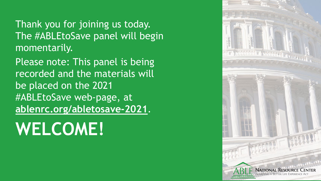Thank you for joining us today. The #ABLEtoSave panel will begin momentarily.

Please note: This panel is being recorded and the materials will be placed on the 2021 #ABLEtoSave web-page, at **[ablenrc.org/abletosave-2021](https://www.ablenrc.org/abletosave-2021/)**.

# **WELCOME!**

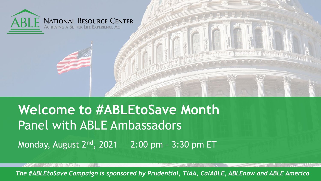

#### **Welcome to #ABLEtoSave Month** Panel with ABLE Ambassadors Monday, August 2<sup>nd</sup>, 2021 2:00 pm - 3:30 pm ET

*The #ABLEtoSave Campaign is sponsored by Prudential, TIAA, CalABLE, ABLEnow and ABLE America*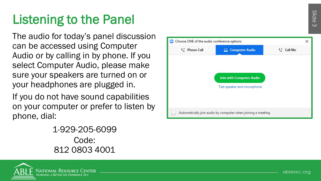## Listening to the Panel

The audio for today's panel discussion can be accessed using Computer Audio or by calling in by phone. If you select Computer Audio, please make sure your speakers are turned on or your headphones are plugged in.

If you do not have sound capabilities on your computer or prefer to listen by phone, dial:1

> -929 -205 -6099 Code: 812 0803 4001



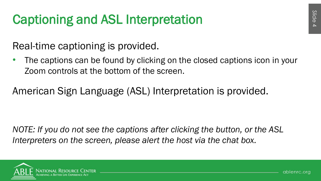## Captioning and ASL Interpretation

Real-time captioning is provided.

The captions can be found by clicking on the closed captions icon in your Zoom controls at the bottom of the screen.

American Sign Language (ASL) Interpretation is provided.

*NOTE: If you do not see the captions after clicking the button, or the ASL Interpreters on the screen, please alert the host via the chat box.*

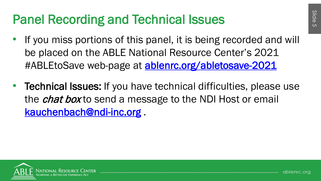### Panel Recording and Technical Issues

- If you miss portions of this panel, it is being recorded and will be placed on the ABLE National Resource Center's 2021 #ABLEtoSave web-page at [ablenrc.org/abletosave-2021](https://www.ablenrc.org/abletosave-2021/)
- **Technical Issues:** If you have technical difficulties, please use the *chat box* to send a message to the NDI Host or email [kauchenbach@ndi-inc.org](mailto:kauchenbach@ndi-inc.org) .

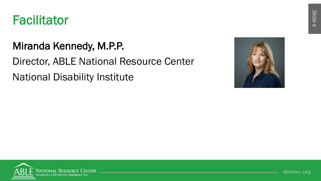

#### Miranda Kennedy, M.P.P.

#### Director, ABLE National Resource Center National Disability Institute







ablenrc.org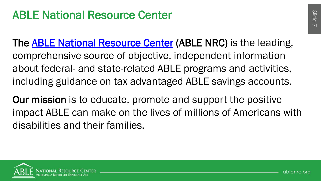#### ABLE National Resource Center

The **ABLE National Resource Center (ABLE NRC)** is the leading, comprehensive source of objective, independent information about federal- and state-related ABLE programs and activities, including guidance on tax-advantaged ABLE savings accounts.

Our mission is to educate, promote and support the positive impact ABLE can make on the lives of millions of Americans with disabilities and their families.

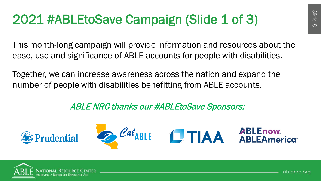## 2021 #ABLEtoSave Campaign (Slide 1 of 3)

This month-long campaign will provide information and resources about the ease, use and significance of ABLE accounts for people with disabilities.

Together, we can increase awareness across the nation and expand the number of people with disabilities benefitting from ABLE accounts.

#### ABLE NRC thanks our #ABLEtoSave Sponsors:



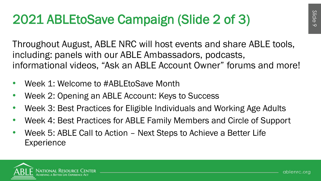## 2021 ABLEtoSave Campaign (Slide 2 of 3)

Throughout August, ABLE NRC will host events and share ABLE tools, including: panels with our ABLE Ambassadors, podcasts, informational videos, "Ask an ABLE Account Owner" forums and more!

- Week 1: Welcome to #ABLEtoSave Month
- Week 2: Opening an ABLE Account: Keys to Success
- Week 3: Best Practices for Eligible Individuals and Working Age Adults
- Week 4: Best Practices for ABLE Family Members and Circle of Support
- Week 5: ABLE Call to Action Next Steps to Achieve a Better Life **Experience**

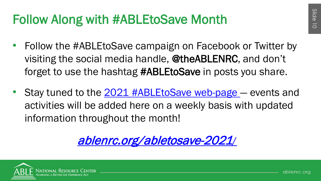## Follow Along with #ABLEtoSave Month

- Follow the #ABLEtoSave campaign on Facebook or Twitter by visiting the social media handle, @theABLENRC, and don't forget to use the hashtag #ABLEtoSave in posts you share.
- Stay tuned to the 2021 #ABLEtoSave web-page events and activities will be added here on a weekly basis with updated information throughout the month!

[ablenrc.org/abletosave-2021](https://www.ablenrc.org/abletosave-2021/)/

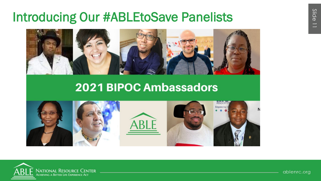### **Introducing Our #ABLEtoSave Panelists**



#### **2021 BIPOC Ambassadors**





ablenrc.org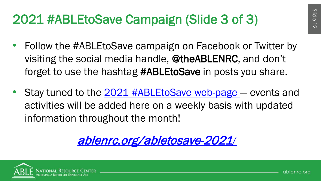## 2021 #ABLEtoSave Campaign (Slide 3 of 3)

- Follow the #ABLEtoSave campaign on Facebook or Twitter by visiting the social media handle, @theABLENRC, and don't forget to use the hashtag #ABLEtoSave in posts you share.
- Stay tuned to the 2021 #ABLEtoSave web-page events and activities will be added here on a weekly basis with updated information throughout the month!

[ablenrc.org/abletosave-2021](https://www.ablenrc.org/abletosave-2021/)/

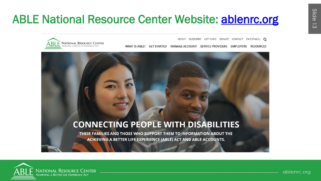### **ABLE National Resource Center Website: ablenrc.org**

ABOUT SUBSCRIBE GIFT CARD DONATE CONTACT EN ESPANOL O

WHAT IS ABLE? MANAGE ACCOUNT SERVICE PROVIDERS EMPLOYERS **RESOURCES GFT STARTED** 



#### **CONNECTING PEOPLE WITH DISABILITIES**

THEIR FAMILIES AND THOSE WHO SUPPORT THEM TO INFORMATION ABOUT THE ACHIEVING A BETTER LIFE EXPERIENCE (ABLE) ACT AND ABLE ACCOUNTS.



ablenrc.org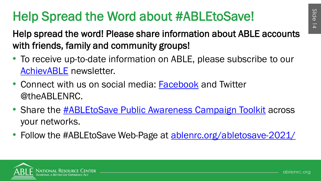## Help Spread the Word about #ABLEtoSave!

- Help spread the word! Please share information about ABLE accounts with friends, family and community groups!
- To receive up-to-date information on ABLE, please subscribe to our [AchievABLE](https://us8.list-manage.com/subscribe?%20u=ea6584491b7ab9daf6b074fe6&id=f9c00579ac) newsletter.
- Connect with us on social media: [Facebook](https://www.facebook.com/theABLENRC/) and Twitter @theABLENRC.
- Share the **[#ABLEtoSave Public Awareness Campaign Toolkit](https://www.ablenrc.org/abletosave-public-awareness-campaign-toolkit/)** across your networks.
- Follow the #ABLEtoSave Web-Page at **[ablenrc.org/abletosave-2021/](https://www.ablenrc.org/abletosave-2021/)**